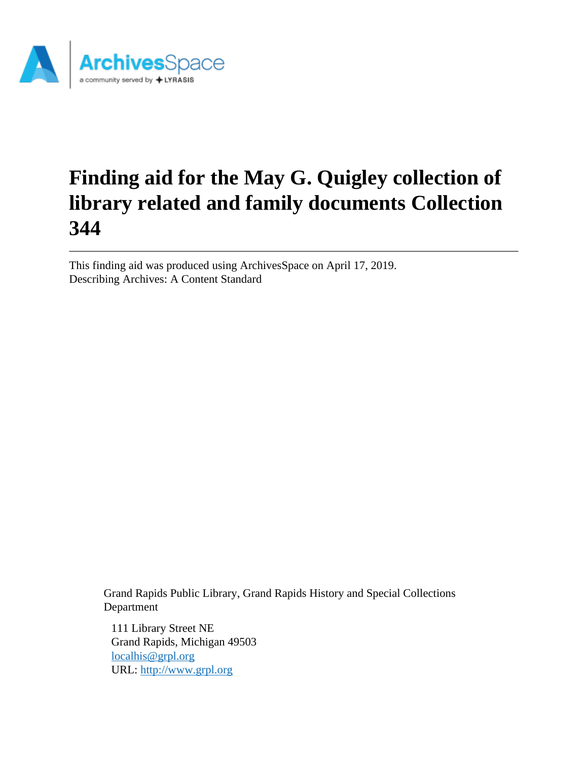

# **Finding aid for the May G. Quigley collection of library related and family documents Collection 344**

This finding aid was produced using ArchivesSpace on April 17, 2019. Describing Archives: A Content Standard

> Grand Rapids Public Library, Grand Rapids History and Special Collections Department

111 Library Street NE Grand Rapids, Michigan 49503 [localhis@grpl.org](mailto:localhis@grpl.org) URL:<http://www.grpl.org>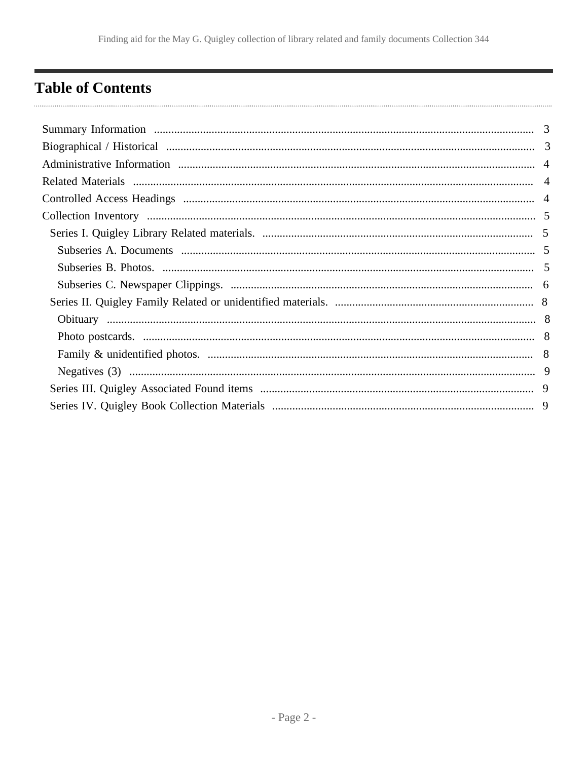## <span id="page-1-0"></span>**Table of Contents**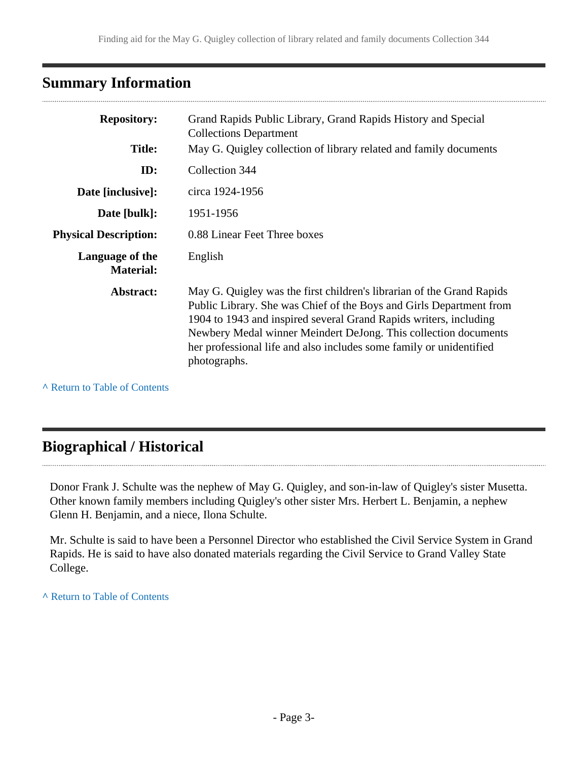## <span id="page-2-0"></span>**Summary Information**

| <b>Repository:</b>                  | Grand Rapids Public Library, Grand Rapids History and Special<br><b>Collections Department</b>                                                                                                                                                                                                                                                                              |
|-------------------------------------|-----------------------------------------------------------------------------------------------------------------------------------------------------------------------------------------------------------------------------------------------------------------------------------------------------------------------------------------------------------------------------|
| <b>Title:</b>                       | May G. Quigley collection of library related and family documents                                                                                                                                                                                                                                                                                                           |
| ID:                                 | Collection 344                                                                                                                                                                                                                                                                                                                                                              |
| Date [inclusive]:                   | circa 1924-1956                                                                                                                                                                                                                                                                                                                                                             |
| Date [bulk]:                        | 1951-1956                                                                                                                                                                                                                                                                                                                                                                   |
| <b>Physical Description:</b>        | 0.88 Linear Feet Three boxes                                                                                                                                                                                                                                                                                                                                                |
| Language of the<br><b>Material:</b> | English                                                                                                                                                                                                                                                                                                                                                                     |
| Abstract:                           | May G. Quigley was the first children's librarian of the Grand Rapids<br>Public Library. She was Chief of the Boys and Girls Department from<br>1904 to 1943 and inspired several Grand Rapids writers, including<br>Newbery Medal winner Meindert DeJong. This collection documents<br>her professional life and also includes some family or unidentified<br>photographs. |

**^** [Return to Table of Contents](#page-1-0)

## <span id="page-2-1"></span>**Biographical / Historical**

Donor Frank J. Schulte was the nephew of May G. Quigley, and son-in-law of Quigley's sister Musetta. Other known family members including Quigley's other sister Mrs. Herbert L. Benjamin, a nephew Glenn H. Benjamin, and a niece, Ilona Schulte.

Mr. Schulte is said to have been a Personnel Director who established the Civil Service System in Grand Rapids. He is said to have also donated materials regarding the Civil Service to Grand Valley State College.

**^** [Return to Table of Contents](#page-1-0)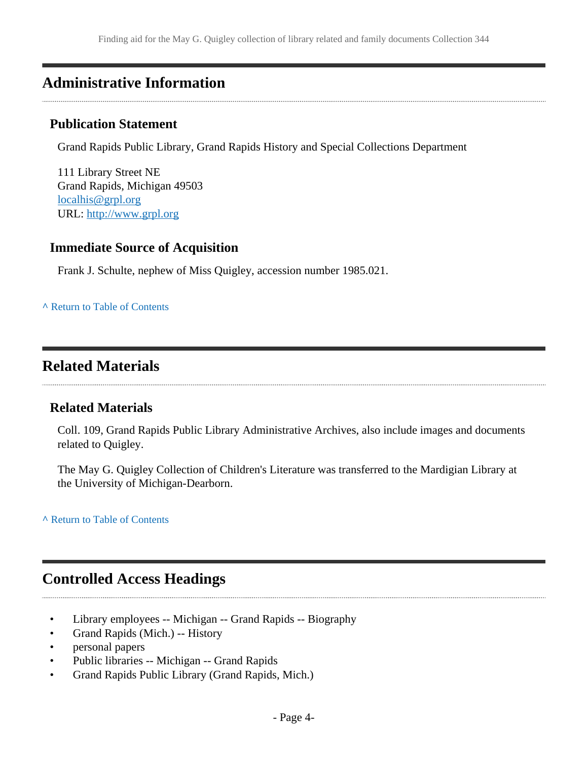## <span id="page-3-0"></span>**Administrative Information**

### **Publication Statement**

Grand Rapids Public Library, Grand Rapids History and Special Collections Department

111 Library Street NE Grand Rapids, Michigan 49503 [localhis@grpl.org](mailto:localhis@grpl.org) URL:<http://www.grpl.org>

## **Immediate Source of Acquisition**

Frank J. Schulte, nephew of Miss Quigley, accession number 1985.021.

**^** [Return to Table of Contents](#page-1-0)

## <span id="page-3-1"></span>**Related Materials**

## **Related Materials**

Coll. 109, Grand Rapids Public Library Administrative Archives, also include images and documents related to Quigley.

The May G. Quigley Collection of Children's Literature was transferred to the Mardigian Library at the University of Michigan-Dearborn.

**^** [Return to Table of Contents](#page-1-0)

## <span id="page-3-2"></span>**Controlled Access Headings**

- Library employees -- Michigan -- Grand Rapids -- Biography
- Grand Rapids (Mich.) -- History
- personal papers
- Public libraries -- Michigan -- Grand Rapids
- Grand Rapids Public Library (Grand Rapids, Mich.)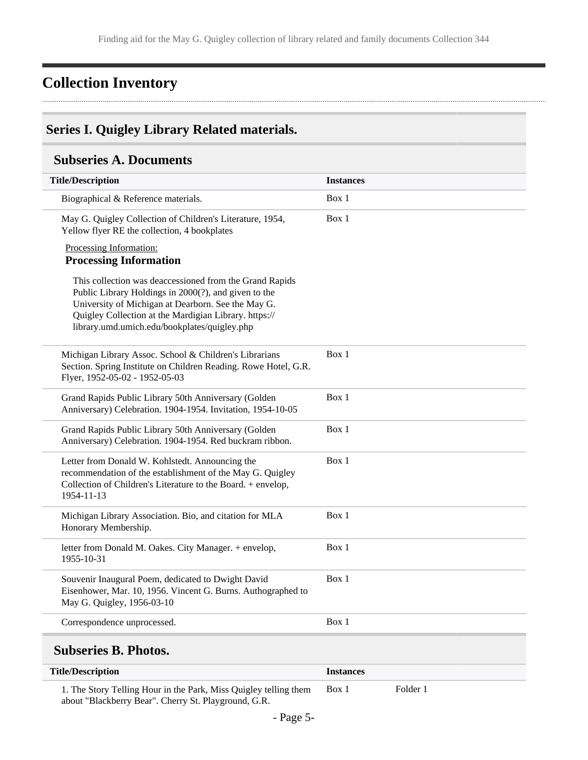## <span id="page-4-0"></span>**Collection Inventory**

## <span id="page-4-1"></span>**Series I. Quigley Library Related materials.**

## <span id="page-4-2"></span>**Subseries A. Documents**

| <b>Title/Description</b>                                                                                                                                                                                                                                                       | <b>Instances</b> |
|--------------------------------------------------------------------------------------------------------------------------------------------------------------------------------------------------------------------------------------------------------------------------------|------------------|
| Biographical & Reference materials.                                                                                                                                                                                                                                            | Box 1            |
| May G. Quigley Collection of Children's Literature, 1954,<br>Yellow flyer RE the collection, 4 bookplates                                                                                                                                                                      | Box 1            |
| Processing Information:<br><b>Processing Information</b>                                                                                                                                                                                                                       |                  |
| This collection was deaccessioned from the Grand Rapids<br>Public Library Holdings in 2000(?), and given to the<br>University of Michigan at Dearborn. See the May G.<br>Quigley Collection at the Mardigian Library. https://<br>library.umd.umich.edu/bookplates/quigley.php |                  |
| Michigan Library Assoc. School & Children's Librarians<br>Section. Spring Institute on Children Reading. Rowe Hotel, G.R.<br>Flyer, 1952-05-02 - 1952-05-03                                                                                                                    | Box 1            |
| Grand Rapids Public Library 50th Anniversary (Golden<br>Anniversary) Celebration. 1904-1954. Invitation, 1954-10-05                                                                                                                                                            | Box 1            |
| Grand Rapids Public Library 50th Anniversary (Golden<br>Anniversary) Celebration. 1904-1954. Red buckram ribbon.                                                                                                                                                               | Box 1            |
| Letter from Donald W. Kohlstedt. Announcing the<br>recommendation of the establishment of the May G. Quigley<br>Collection of Children's Literature to the Board. + envelop,<br>1954-11-13                                                                                     | Box 1            |
| Michigan Library Association. Bio, and citation for MLA<br>Honorary Membership.                                                                                                                                                                                                | Box 1            |
| letter from Donald M. Oakes. City Manager. + envelop,<br>1955-10-31                                                                                                                                                                                                            | Box 1            |
| Souvenir Inaugural Poem, dedicated to Dwight David<br>Eisenhower, Mar. 10, 1956. Vincent G. Burns. Authographed to<br>May G. Quigley, 1956-03-10                                                                                                                               | Box 1            |
| Correspondence unprocessed.                                                                                                                                                                                                                                                    | Box 1            |
| <b>Subseries B. Photos.</b>                                                                                                                                                                                                                                                    |                  |
| <b>Title/Description</b>                                                                                                                                                                                                                                                       | <b>Instances</b> |

<span id="page-4-3"></span>1. The Story Telling Hour in the Park, Miss Quigley telling them about "Blackberry Bear". Cherry St. Playground, G.R. Box 1 Folder 1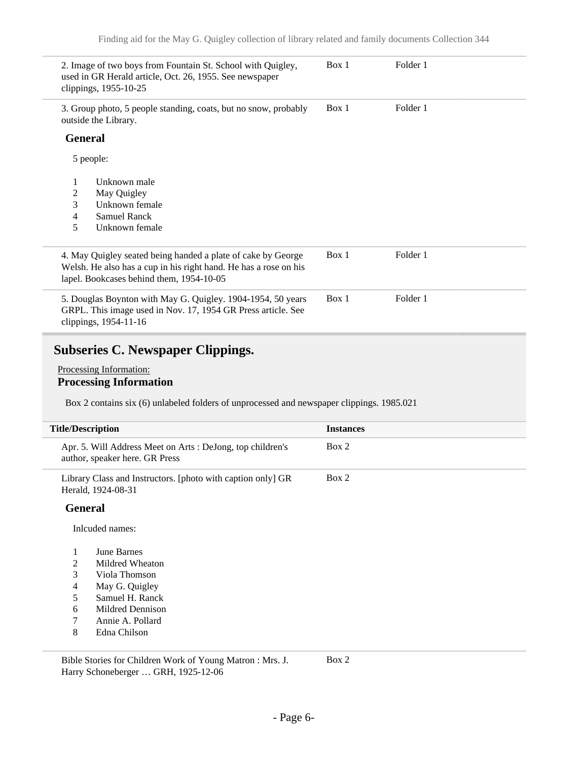|                | 2. Image of two boys from Fountain St. School with Quigley,<br>used in GR Herald article, Oct. 26, 1955. See newspaper<br>clippings, 1955-10-25                              | Box 1 | Folder 1 |  |
|----------------|------------------------------------------------------------------------------------------------------------------------------------------------------------------------------|-------|----------|--|
|                | 3. Group photo, 5 people standing, coats, but no snow, probably<br>outside the Library.                                                                                      | Box 1 | Folder 1 |  |
| <b>General</b> |                                                                                                                                                                              |       |          |  |
|                | 5 people:                                                                                                                                                                    |       |          |  |
| 1              | Unknown male                                                                                                                                                                 |       |          |  |
| 2              | May Quigley                                                                                                                                                                  |       |          |  |
| 3              | Unknown female                                                                                                                                                               |       |          |  |
| 4              | Samuel Ranck                                                                                                                                                                 |       |          |  |
| 5              | Unknown female                                                                                                                                                               |       |          |  |
|                | 4. May Quigley seated being handed a plate of cake by George<br>Welsh. He also has a cup in his right hand. He has a rose on his<br>lapel. Bookcases behind them, 1954-10-05 | Box 1 | Folder 1 |  |
|                | 5. Douglas Boynton with May G. Quigley. 1904-1954, 50 years<br>GRPL. This image used in Nov. 17, 1954 GR Press article. See<br>clippings, 1954-11-16                         | Box 1 | Folder 1 |  |

## <span id="page-5-0"></span>**Subseries C. Newspaper Clippings.**

#### Processing Information: **Processing Information**

Box 2 contains six (6) unlabeled folders of unprocessed and newspaper clippings. 1985.021

| <b>Title/Description</b> |                |                                                                                             | <b>Instances</b> |
|--------------------------|----------------|---------------------------------------------------------------------------------------------|------------------|
|                          |                | Apr. 5. Will Address Meet on Arts: DeJong, top children's<br>author, speaker here. GR Press | Box 2            |
|                          |                | Library Class and Instructors. [photo with caption only] GR<br>Herald, 1924-08-31           | Box 2            |
|                          | <b>General</b> |                                                                                             |                  |
|                          |                | Inlouded names:                                                                             |                  |
|                          | 1              | June Barnes                                                                                 |                  |
|                          | 2              | Mildred Wheaton                                                                             |                  |
|                          | 3              | Viola Thomson                                                                               |                  |
|                          | $\overline{4}$ | May G. Quigley                                                                              |                  |
|                          | 5              | Samuel H. Ranck                                                                             |                  |
|                          | 6              | Mildred Dennison                                                                            |                  |
|                          | 7              | Annie A. Pollard                                                                            |                  |
|                          | 8              | Edna Chilson                                                                                |                  |

Bible Stories for Children Work of Young Matron : Mrs. J. Harry Schoneberger … GRH, 1925-12-06 Box 2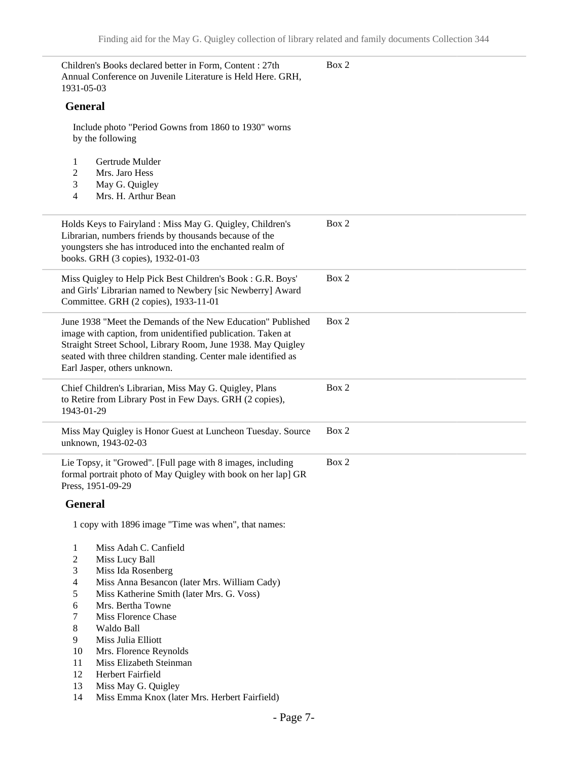| 1931-05-03     | Children's Books declared better in Form, Content : 27th<br>Annual Conference on Juvenile Literature is Held Here. GRH,                                                                                                                                                                      | Box 2 |
|----------------|----------------------------------------------------------------------------------------------------------------------------------------------------------------------------------------------------------------------------------------------------------------------------------------------|-------|
| <b>General</b> |                                                                                                                                                                                                                                                                                              |       |
|                | Include photo "Period Gowns from 1860 to 1930" worns<br>by the following                                                                                                                                                                                                                     |       |
| 1              | Gertrude Mulder                                                                                                                                                                                                                                                                              |       |
| 2              | Mrs. Jaro Hess                                                                                                                                                                                                                                                                               |       |
| 3              | May G. Quigley                                                                                                                                                                                                                                                                               |       |
| 4              | Mrs. H. Arthur Bean                                                                                                                                                                                                                                                                          |       |
|                | Holds Keys to Fairyland : Miss May G. Quigley, Children's<br>Librarian, numbers friends by thousands because of the<br>youngsters she has introduced into the enchanted realm of<br>books. GRH (3 copies), 1932-01-03                                                                        | Box 2 |
|                | Miss Quigley to Help Pick Best Children's Book: G.R. Boys'<br>and Girls' Librarian named to Newbery [sic Newberry] Award<br>Committee. GRH (2 copies), 1933-11-01                                                                                                                            | Box 2 |
|                | June 1938 "Meet the Demands of the New Education" Published<br>image with caption, from unidentified publication. Taken at<br>Straight Street School, Library Room, June 1938. May Quigley<br>seated with three children standing. Center male identified as<br>Earl Jasper, others unknown. | Box 2 |
| 1943-01-29     | Chief Children's Librarian, Miss May G. Quigley, Plans<br>to Retire from Library Post in Few Days. GRH (2 copies),                                                                                                                                                                           | Box 2 |
|                | Miss May Quigley is Honor Guest at Luncheon Tuesday. Source<br>unknown, 1943-02-03                                                                                                                                                                                                           | Box 2 |
|                | Lie Topsy, it "Growed". [Full page with 8 images, including<br>formal portrait photo of May Quigley with book on her lap] GR<br>Press, 1951-09-29                                                                                                                                            | Box 2 |
| <b>General</b> |                                                                                                                                                                                                                                                                                              |       |
|                | 1 copy with 1896 image "Time was when", that names:                                                                                                                                                                                                                                          |       |
| 1              | Miss Adah C. Canfield                                                                                                                                                                                                                                                                        |       |
| $\overline{c}$ | Miss Lucy Ball                                                                                                                                                                                                                                                                               |       |
| 3              | Miss Ida Rosenberg                                                                                                                                                                                                                                                                           |       |
| 4              | Miss Anna Besancon (later Mrs. William Cady)                                                                                                                                                                                                                                                 |       |
| 5              | Miss Katherine Smith (later Mrs. G. Voss)                                                                                                                                                                                                                                                    |       |
| 6              | Mrs. Bertha Towne<br><b>Miss Florence Chase</b>                                                                                                                                                                                                                                              |       |
| 7<br>8         | Waldo Ball                                                                                                                                                                                                                                                                                   |       |
| 9              | Miss Julia Elliott                                                                                                                                                                                                                                                                           |       |
| 10             | Mrs. Florence Reynolds                                                                                                                                                                                                                                                                       |       |
| 11             | Miss Elizabeth Steinman                                                                                                                                                                                                                                                                      |       |
| 12             | Herbert Fairfield                                                                                                                                                                                                                                                                            |       |
| 13             | Miss May G. Quigley                                                                                                                                                                                                                                                                          |       |
| 14             | Miss Emma Knox (later Mrs. Herbert Fairfield)                                                                                                                                                                                                                                                |       |
|                |                                                                                                                                                                                                                                                                                              |       |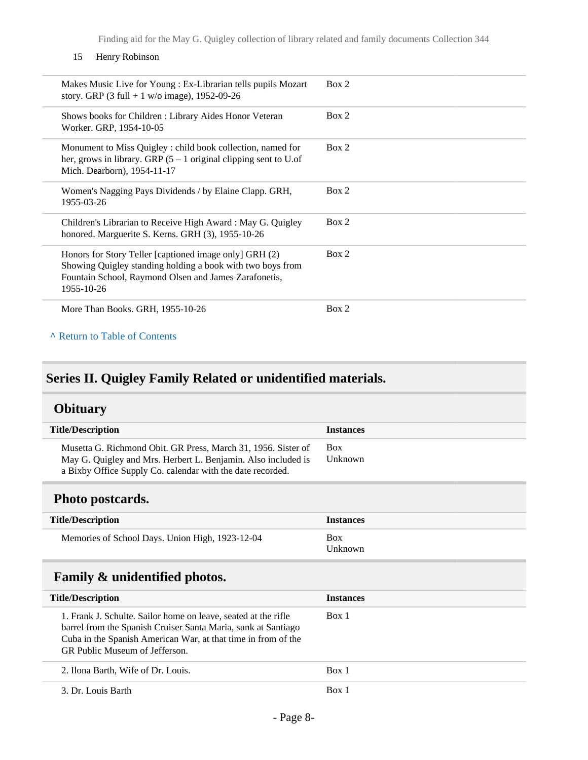#### 15 Henry Robinson

| Makes Music Live for Young: Ex-Librarian tells pupils Mozart<br>story. GRP $(3$ full + 1 w/o image), 1952-09-26                                                                             | Box 2 |
|---------------------------------------------------------------------------------------------------------------------------------------------------------------------------------------------|-------|
| Shows books for Children: Library Aides Honor Veteran<br>Worker. GRP, 1954-10-05                                                                                                            | Box 2 |
| Monument to Miss Quigley : child book collection, named for<br>her, grows in library. GRP $(5 – 1)$ original clipping sent to U.of<br>Mich. Dearborn), 1954-11-17                           | Box 2 |
| Women's Nagging Pays Dividends / by Elaine Clapp. GRH,<br>1955-03-26                                                                                                                        | Box 2 |
| Children's Librarian to Receive High Award: May G. Quigley<br>honored. Marguerite S. Kerns. GRH (3), 1955-10-26                                                                             | Box 2 |
| Honors for Story Teller [captioned image only] GRH (2)<br>Showing Quigley standing holding a book with two boys from<br>Fountain School, Raymond Olsen and James Zarafonetis,<br>1955-10-26 | Box 2 |
| More Than Books. GRH, 1955-10-26                                                                                                                                                            | Box 2 |

#### **^** [Return to Table of Contents](#page-1-0)

## <span id="page-7-0"></span>**Series II. Quigley Family Related or unidentified materials.**

## <span id="page-7-1"></span>**Obituary**

| <b>Title/Description</b>                                                                                                                                                                     | <b>Instances</b>      |
|----------------------------------------------------------------------------------------------------------------------------------------------------------------------------------------------|-----------------------|
| Musetta G. Richmond Obit. GR Press, March 31, 1956. Sister of<br>May G. Quigley and Mrs. Herbert L. Benjamin. Also included is<br>a Bixby Office Supply Co. calendar with the date recorded. | <b>Box</b><br>Unknown |

## <span id="page-7-2"></span>**Photo postcards.**

| <b>Title/Description</b>                        | <b>Instances</b>      |
|-------------------------------------------------|-----------------------|
| Memories of School Days. Union High, 1923-12-04 | <b>Box</b><br>Unknown |

## <span id="page-7-3"></span>**Family & unidentified photos.**

| <b>Title/Description</b>                                                                                                                                                                                                           | <b>Instances</b> |
|------------------------------------------------------------------------------------------------------------------------------------------------------------------------------------------------------------------------------------|------------------|
| 1. Frank J. Schulte. Sailor home on leave, seated at the rifle<br>barrel from the Spanish Cruiser Santa Maria, sunk at Santiago<br>Cuba in the Spanish American War, at that time in from of the<br>GR Public Museum of Jefferson. | Box 1            |
| 2. Ilona Barth, Wife of Dr. Louis.                                                                                                                                                                                                 | Box 1            |
| 3. Dr. Louis Barth                                                                                                                                                                                                                 | Box 1            |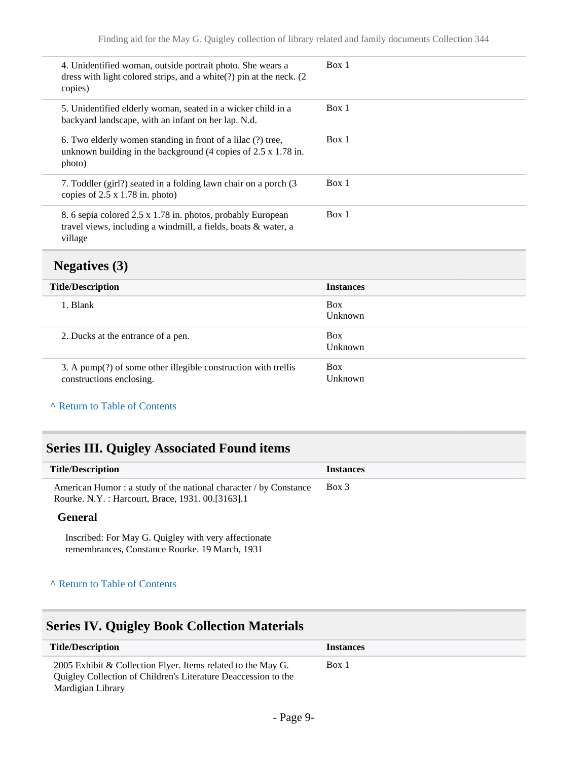| 4. Unidentified woman, outside portrait photo. She wears a<br>dress with light colored strips, and a white(?) pin at the neck. (2)<br>copies)                    | Box 1 |
|------------------------------------------------------------------------------------------------------------------------------------------------------------------|-------|
| 5. Unidentified elderly woman, seated in a wicker child in a<br>backyard landscape, with an infant on her lap. N.d.                                              | Box 1 |
| 6. Two elderly women standing in front of a lilac (?) tree,<br>unknown building in the background $(4 \text{ copies of } 2.5 \times 1.78 \text{ in.})$<br>photo) | Box 1 |
| 7. Toddler (girl?) seated in a folding lawn chair on a porch (3<br>copies of $2.5 \times 1.78$ in. photo)                                                        | Box 1 |
| 8. 6 sepia colored 2.5 x 1.78 in. photos, probably European<br>travel views, including a windmill, a fields, boats & water, a<br>village                         | Box 1 |

## <span id="page-8-0"></span>**Negatives (3)**

| <b>Title/Description</b>                                                                   | <b>Instances</b>      |
|--------------------------------------------------------------------------------------------|-----------------------|
| 1. Blank                                                                                   | <b>Box</b><br>Unknown |
| 2. Ducks at the entrance of a pen.                                                         | <b>Box</b><br>Unknown |
| 3. A pump(?) of some other illegible construction with trellis<br>constructions enclosing. | <b>Box</b><br>Unknown |

#### **^** [Return to Table of Contents](#page-1-0)

## <span id="page-8-1"></span>**Series III. Quigley Associated Found items**

| <b>Title/Description</b>                                                                                               | <b>Instances</b> |
|------------------------------------------------------------------------------------------------------------------------|------------------|
| American Humor: a study of the national character / by Constance<br>Rourke. N.Y.: Harcourt, Brace, 1931. 00. [3163]. 1 | Box 3            |
| General                                                                                                                |                  |

Inscribed: For May G. Quigley with very affectionate remembrances, Constance Rourke. 19 March, 1931

#### **^** [Return to Table of Contents](#page-1-0)

## <span id="page-8-2"></span>**Series IV. Quigley Book Collection Materials**

| <b>Title/Description</b>                                                                                                       | <b>Instances</b> |
|--------------------------------------------------------------------------------------------------------------------------------|------------------|
| 2005 Exhibit & Collection Flyer. Items related to the May G.<br>Quigley Collection of Children's Literature Deaccession to the | Box 1            |
| Mardigian Library                                                                                                              |                  |